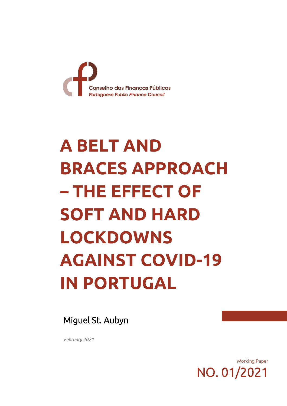

# **A BELT AND BRACES APPROACH – THE EFFECT OF SOFT AND HARD LOCKDOWNS AGAINST COVID-19 IN PORTUGAL**

Miguel St. Aubyn

*February 2021* 

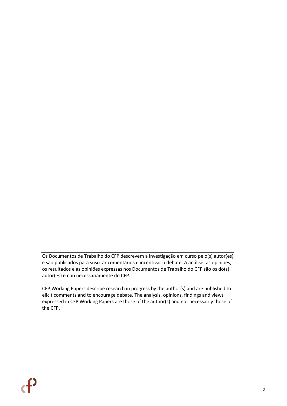Os Documentos de Trabalho do CFP descrevem a investigação em curso pelo(s) autor(es) e são publicados para suscitar comentários e incentivar o debate. A análise, as opiniões, os resultados e as opiniões expressas nos Documentos de Trabalho do CFP são os do(s) autor(es) e não necessariamente do CFP.

CFP Working Papers describe research in progress by the author(s) and are published to elicit comments and to encourage debate. The analysis, opinions, findings and views expressed in CFP Working Papers are those of the author(s) and not necessarily those of the CFP.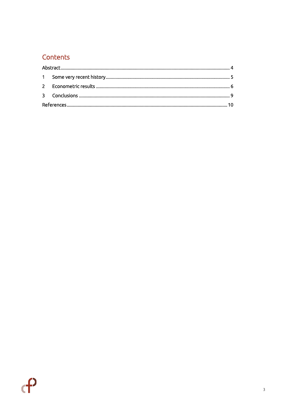## Contents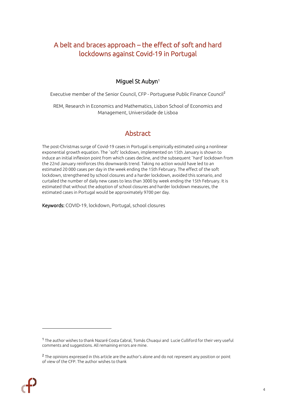## A belt and braces approach – the effect of soft and hard lockdowns against Covid-19 in Portugal

#### Miguel St Aubyn<sup>1</sup>

Executive member of the Senior Council, CFP - Portuguese Public Finance Council<sup>2</sup>

REM, Research in Economics and Mathematics, Lisbon School of Economics and Management, Universidade de Lisboa

## Abstract

<span id="page-3-0"></span>The post-Christmas surge of Covid-19 cases in Portugal is empirically estimated using a nonlinear exponential growth equation. The `soft' lockdown, implemented on 15th January is shown to induce an initial inflexion point from which cases decline, and the subsequent `hard' lockdown from the 22nd January reinforces this downwards trend. Taking no action would have led to an estimated 20 000 cases per day in the week ending the 15th February. The effect of the soft lockdown, strengthened by school closures and a harder lockdown, avoided this scenario, and curtailed the number of daily new cases to less than 3000 by week ending the 15th February. It is estimated that without the adoption of school closures and harder lockdown measures, the estimated cases in Portugal would be approximately 9700 per day.

Keywords: COVID-19, lockdown, Portugal, school closures

<sup>&</sup>lt;sup>2</sup> The opinions expressed in this article are the author's alone and do not represent any position or point of view of the CFP. The author wishes to thank



<sup>1</sup> The author wishes to thank Nazaré Costa Cabral, Tomás Chuaqui and Lucie Culliford for their very useful comments and suggestions. All remaining errors are mine.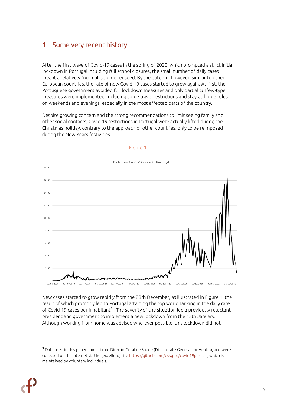## <span id="page-4-0"></span>1 Some very recent history

After the first wave of Covid-19 cases in the spring of 2020, which prompted a strict initial lockdown in Portugal including full school closures, the small number of daily cases meant a relatively `normal' summer ensued. By the autumn, however, similar to other European countries, the rate of new Covid-19 cases started to grow again. At first, the Portuguese government avoided full lockdown measures and only partial curfew-type measures were implemented, including some travel restrictions and stay-at-home rules on weekends and evenings, especially in the most affected parts of the country.

Despite growing concern and the strong recommendations to limit seeing family and other social contacts, Covid-19 restrictions in Portugal were actually lifted during the Christmas holiday, contrary to the approach of other countries, only to be reimposed during the New Years festivities.



#### Figure 1

New cases started to grow rapidly from the 28th December, as illustrated in Figure 1, the result of which promptly led to Portugal attaining the top world ranking in the daily rate of Covid-19 cases per inhabitant<sup>3</sup>. The severity of the situation led a previously reluctant president and government to implement a new lockdown from the 15th January. Although working from home was advised wherever possible, this lockdown did not

<sup>3</sup> Data used in this paper comes from Direção-Geral de Saúde (Directorate-General for Health), and were collected on the Internet via the (excellent) sit[e https://github.com/dssg-pt/covid19pt-data,](https://github.com/dssg-pt/covid19pt-data) which is maintained by voluntary individuals.

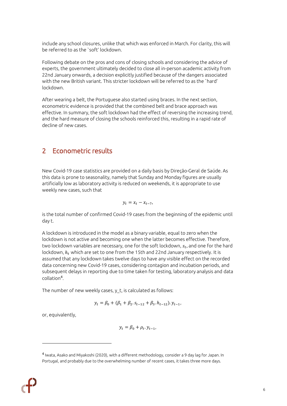include any school closures, unlike that which was enforced in March. For clarity, this will be referred to as the `soft' lockdown.

Following debate on the pros and cons of closing schools and considering the advice of experts, the government ultimately decided to close all in-person academic activity from 22nd January onwards, a decision explicitly justified because of the dangers associated with the new British variant. This stricter lockdown will be referred to as the `hard' lockdown.

After wearing a belt, the Portuguese also started using braces. In the next section, econometric evidence is provided that the combined belt and brace approach was effective. In summary, the soft lockdown had the effect of reversing the increasing trend, and the hard measure of closing the schools reinforced this, resulting in a rapid rate of decline of new cases.

### <span id="page-5-0"></span>2 Econometric results

New Covid-19 case statistics are provided on a daily basis by Direção-Geral de Saúde. As this data is prone to seasonality, namely that Sunday and Monday figures are usually artificially low as laboratory activity is reduced on weekends, it is appropriate to use weekly new cases, such that

$$
y_t = x_t - x_{t-7},
$$

is the total number of confirmed Covid-19 cases from the beginning of the epidemic until day t.

A lockdown is introduced in the model as a binary variable, equal to zero when the lockdown is not active and becoming one when the latter becomes effective. Therefore, two lockdown variables are necessary, one for the soft lockdown,  $s_t$ , and one for the hard lockdown,  $h_t$  which are set to one from the 15th and 22nd January respectively. It is assumed that any lockdown takes twelve days to have any visible effect on the recorded data concerning new Covid-19 cases, considering contagion and incubation periods, and subsequent delays in reporting due to time taken for testing, laboratory analysis and data collation<sup>4</sup> .

The number of new weekly cases, y\_t, is calculated as follows:

$$
y_t = \beta_0 + (\beta_1 + \beta_2 s_{t-12} + \beta_3 h_{t-12}) y_{t-1},
$$

or, equivalently,

$$
y_t = \beta_0 + \rho_t \cdot y_{t-1},
$$

<sup>4</sup> Iwata, Asako and Miyakoshi (2020), with a different methodology, consider a 9 day lag for Japan. In Portugal, and probably due to the overwhelming number of recent cases, it takes three more days.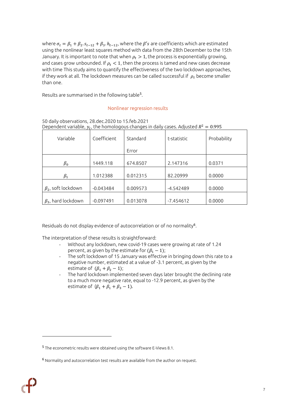where  $\sigma_t = \beta_1 + \beta_2. s_{t-12} + \beta_3. h_{t-12}$ , where the  $\beta's$  are coefficients which are estimated using the nonlinear least squares method with data from the 28th December to the 15th January. It is important to note that when  $\rho_t > 1$ , the process is exponentially growing, and cases grow unbounded. If  $\rho_t < 1$ , then the process is tamed and new cases decrease with time This study aims to quantify the effectiveness of the two lockdown approaches, if they work at all. The lockdown measures can be called successful if  $\rho_t$  become smaller than one.

Results are summarised in the following table<sup>5</sup>.

#### Nonlinear regression results

| $D$ ependent vanable, $y_f$ , the homotogous changes in daity cases. Adjusted $K = 0.773$ |             |          |             |             |  |  |  |
|-------------------------------------------------------------------------------------------|-------------|----------|-------------|-------------|--|--|--|
| Variable                                                                                  | Coefficient | Standard | t-statistic | Probability |  |  |  |
|                                                                                           |             | Error    |             |             |  |  |  |
|                                                                                           |             |          |             |             |  |  |  |
| $\beta_0$                                                                                 | 1449.118    | 674.8507 | 2.147316    | 0.0371      |  |  |  |
|                                                                                           |             |          |             |             |  |  |  |
| $\beta_1$                                                                                 | 1.012388    | 0.012315 | 82.20999    | 0.0000      |  |  |  |
|                                                                                           |             |          |             |             |  |  |  |
| $\beta_2$ , soft lockdown                                                                 | $-0.043484$ | 0.009573 | -4.542489   | 0.0000      |  |  |  |
|                                                                                           |             |          |             |             |  |  |  |
| $\beta_3$ , hard lockdown                                                                 | $-0.097491$ | 0.013078 | $-7.454612$ | 0.0000      |  |  |  |

50 daily observations, 28.dec.2020 to 15.feb.2021 Dependent variable,  $y_t$ , the homologous changes in daily cases. Adjusted  $R^2=0.995$ 

Residuals do not display evidence of autocorrelation or of no normality<sup>6</sup>.

The interpretation of these results is straightforward:

- Without any lockdown, new covid-19 cases were growing at rate of 1.24 percent, as given by the estimate for  $(\beta_1 - 1)$ ;
- The soft lockdown of 15 January was effective in bringing down this rate to a negative number, estimated at a value of -3.1 percent, as given by the estimate of  $(\beta_1 + \beta_2 - 1)$ ;
- The hard lockdown implemented seven days later brought the declining rate to a much more negative rate, equal to -12.9 percent, as given by the estimate of  $(\beta_1 + \beta_1 + \beta_3 - 1)$ .

<sup>5</sup> The econometric results were obtained using the software E-Views 8.1.

<sup>6</sup> Normality and autocorrelation test results are available from the author on request.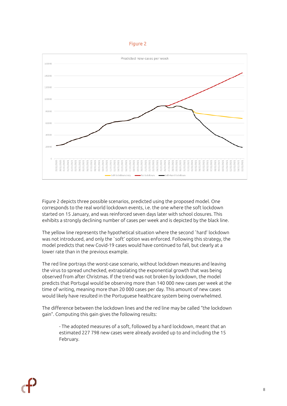#### Figure 2



Figure 2 depicts three possible scenarios, predicted using the proposed model. One corresponds to the real world lockdown events, i.e. the one where the soft lockdown started on 15 January, and was reinforced seven days later with school closures. This exhibits a strongly declining number of cases per week and is depicted by the black line.

The yellow line represents the hypothetical situation where the second `hard' lockdown was not introduced, and only the `soft' option was enforced. Following this strategy, the model predicts that new Covid-19 cases would have continued to fall, but clearly at a lower rate than in the previous example.

The red line portrays the worst-case scenario, without lockdown measures and leaving the virus to spread unchecked, extrapolating the exponential growth that was being observed from after Christmas. If the trend was not broken by lockdown, the model predicts that Portugal would be observing more than 140 000 new cases per week at the time of writing, meaning more than 20 000 cases per day. This amount of new cases would likely have resulted in the Portuguese healthcare system being overwhelmed.

The difference between the lockdown lines and the red line may be called "the lockdown gain". Computing this gain gives the following results:

- The adopted measures of a soft, followed by a hard lockdown, meant that an estimated 227 798 new cases were already avoided up to and including the 15 February.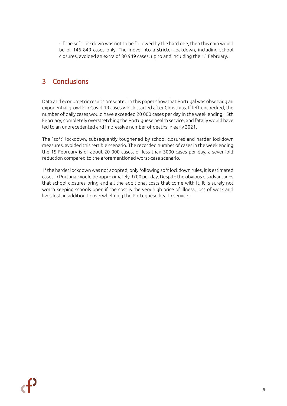- If the soft lockdown was not to be followed by the hard one, then this gain would be of 146 849 cases only. The move into a stricter lockdown, including school closures, avoided an extra of 80 949 cases, up to and including the 15 February.

## <span id="page-8-0"></span>3 Conclusions

Data and econometric results presented in this paper show that Portugal was observing an exponential growth in Covid-19 cases which started after Christmas. If left unchecked, the number of daily cases would have exceeded 20 000 cases per day in the week ending 15th February, completely overstretching the Portuguese health service, and fatally would have led to an unprecedented and impressive number of deaths in early 2021.

The `soft' lockdown, subsequently toughened by school closures and harder lockdown measures, avoided this terrible scenario. The recorded number of cases in the week ending the 15 February is of about 20 000 cases, or less than 3000 cases per day, a sevenfold reduction compared to the aforementioned worst-case scenario.

If the harder lockdown was not adopted, only following soft lockdown rules, it is estimated cases in Portugal would be approximately 9700 per day. Despite the obvious disadvantages that school closures bring and all the additional costs that come with it, it is surely not worth keeping schools open if the cost is the very high price of illness, loss of work and lives lost, in addition to overwhelming the Portuguese health service.